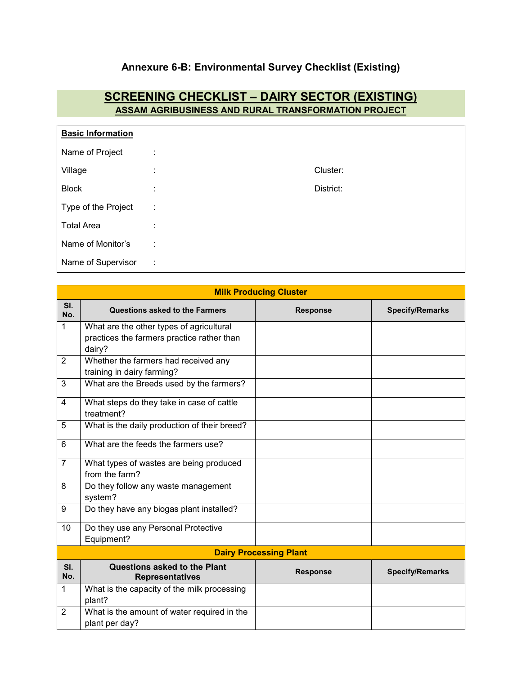## **Annexure 6-B: Environmental Survey Checklist (Existing)**

## **SCREENING CHECKLIST – DAIRY SECTOR (EXISTING) ASSAM AGRIBUSINESS AND RURAL TRANSFORMATION PROJECT**

| <b>Basic Information</b> |                    |           |  |  |
|--------------------------|--------------------|-----------|--|--|
| Name of Project          | ٠.                 |           |  |  |
| Village                  | ٠.<br>$\mathbf{r}$ | Cluster:  |  |  |
| <b>Block</b>             | $\bullet$          | District: |  |  |
| Type of the Project      | ÷                  |           |  |  |
| <b>Total Area</b>        |                    |           |  |  |
| Name of Monitor's        | ÷                  |           |  |  |
| Name of Supervisor       | ÷                  |           |  |  |

|                | <b>Milk Producing Cluster</b>                                 |                               |                        |  |  |
|----------------|---------------------------------------------------------------|-------------------------------|------------------------|--|--|
| SI.<br>No.     | <b>Questions asked to the Farmers</b>                         | <b>Response</b>               | <b>Specify/Remarks</b> |  |  |
| 1              | What are the other types of agricultural                      |                               |                        |  |  |
|                | practices the farmers practice rather than<br>dairy?          |                               |                        |  |  |
| $\overline{2}$ | Whether the farmers had received any                          |                               |                        |  |  |
|                | training in dairy farming?                                    |                               |                        |  |  |
| 3              | What are the Breeds used by the farmers?                      |                               |                        |  |  |
| 4              | What steps do they take in case of cattle<br>treatment?       |                               |                        |  |  |
| 5              | What is the daily production of their breed?                  |                               |                        |  |  |
| 6              | What are the feeds the farmers use?                           |                               |                        |  |  |
| $\overline{7}$ | What types of wastes are being produced                       |                               |                        |  |  |
|                | from the farm?                                                |                               |                        |  |  |
| 8              | Do they follow any waste management<br>system?                |                               |                        |  |  |
| 9              | Do they have any biogas plant installed?                      |                               |                        |  |  |
| 10             | Do they use any Personal Protective                           |                               |                        |  |  |
|                | Equipment?                                                    |                               |                        |  |  |
|                |                                                               | <b>Dairy Processing Plant</b> |                        |  |  |
| SI.<br>No.     | Questions asked to the Plant<br><b>Representatives</b>        | <b>Response</b>               | <b>Specify/Remarks</b> |  |  |
| 1              | What is the capacity of the milk processing<br>plant?         |                               |                        |  |  |
| $\overline{2}$ | What is the amount of water required in the<br>plant per day? |                               |                        |  |  |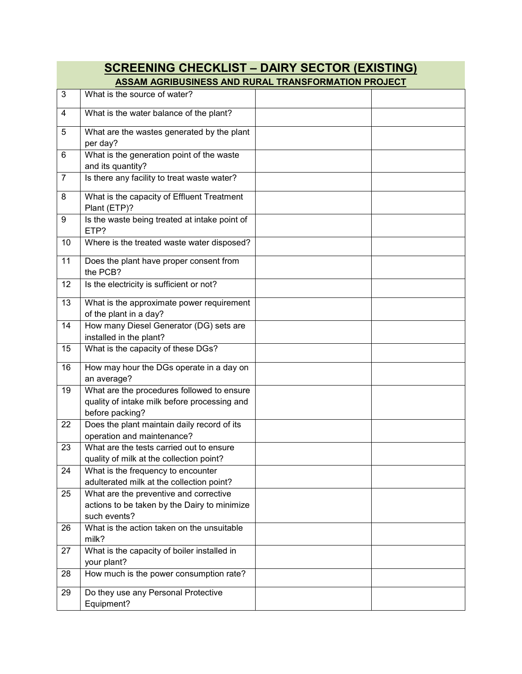| <b>SCREENING CHECKLIST - DAIRY SECTOR (EXISTING)</b> |                                                                                                               |  |  |  |
|------------------------------------------------------|---------------------------------------------------------------------------------------------------------------|--|--|--|
|                                                      | ASSAM AGRIBUSINESS AND RURAL TRANSFORMATION PROJECT                                                           |  |  |  |
| 3                                                    | What is the source of water?                                                                                  |  |  |  |
| 4                                                    | What is the water balance of the plant?                                                                       |  |  |  |
| 5                                                    | What are the wastes generated by the plant<br>per day?                                                        |  |  |  |
| 6                                                    | What is the generation point of the waste                                                                     |  |  |  |
| $\overline{7}$                                       | and its quantity?<br>Is there any facility to treat waste water?                                              |  |  |  |
| 8                                                    | What is the capacity of Effluent Treatment<br>Plant (ETP)?                                                    |  |  |  |
| 9                                                    | Is the waste being treated at intake point of<br>ETP?                                                         |  |  |  |
| 10                                                   | Where is the treated waste water disposed?                                                                    |  |  |  |
| 11                                                   | Does the plant have proper consent from<br>the PCB?                                                           |  |  |  |
| 12                                                   | Is the electricity is sufficient or not?                                                                      |  |  |  |
| 13                                                   | What is the approximate power requirement<br>of the plant in a day?                                           |  |  |  |
| 14                                                   | How many Diesel Generator (DG) sets are<br>installed in the plant?                                            |  |  |  |
| 15                                                   | What is the capacity of these DGs?                                                                            |  |  |  |
| 16                                                   | How may hour the DGs operate in a day on<br>an average?                                                       |  |  |  |
| 19                                                   | What are the procedures followed to ensure<br>quality of intake milk before processing and<br>before packing? |  |  |  |
| 22                                                   | Does the plant maintain daily record of its<br>operation and maintenance?                                     |  |  |  |
| 23                                                   | What are the tests carried out to ensure<br>quality of milk at the collection point?                          |  |  |  |
| 24                                                   | What is the frequency to encounter<br>adulterated milk at the collection point?                               |  |  |  |
| 25                                                   | What are the preventive and corrective<br>actions to be taken by the Dairy to minimize<br>such events?        |  |  |  |
| 26                                                   | What is the action taken on the unsuitable<br>milk?                                                           |  |  |  |
| 27                                                   | What is the capacity of boiler installed in<br>your plant?                                                    |  |  |  |
| 28                                                   | How much is the power consumption rate?                                                                       |  |  |  |
| 29                                                   | Do they use any Personal Protective<br>Equipment?                                                             |  |  |  |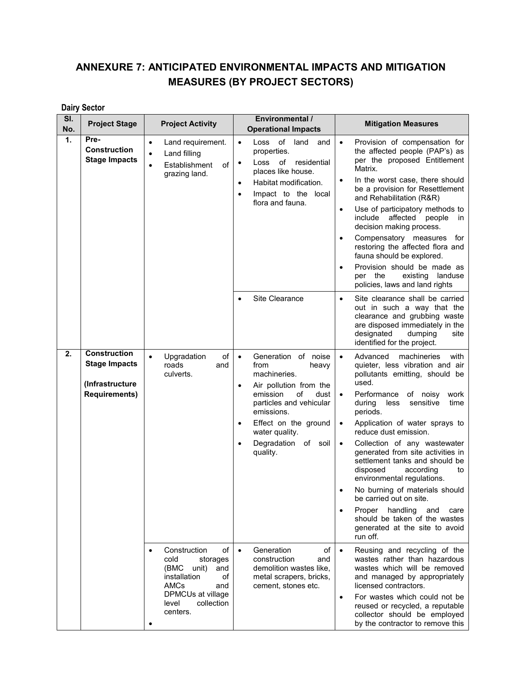## **ANNEXURE 7: ANTICIPATED ENVIRONMENTAL IMPACTS AND MITIGATION MEASURES (BY PROJECT SECTORS)**

## **Dairy Sector**

| SI.<br>No.       | <b>Project Stage</b>                                                                   | <b>Project Activity</b>                                                                                                                                     | Environmental /<br><b>Operational Impacts</b>                                                                                                                                                                                                                                      | <b>Mitigation Measures</b>                                                                                                                                                                                                                                                                                                                                                                                                                                                                                                                                                                                                                                           |
|------------------|----------------------------------------------------------------------------------------|-------------------------------------------------------------------------------------------------------------------------------------------------------------|------------------------------------------------------------------------------------------------------------------------------------------------------------------------------------------------------------------------------------------------------------------------------------|----------------------------------------------------------------------------------------------------------------------------------------------------------------------------------------------------------------------------------------------------------------------------------------------------------------------------------------------------------------------------------------------------------------------------------------------------------------------------------------------------------------------------------------------------------------------------------------------------------------------------------------------------------------------|
| $\overline{1}$ . | Pre-<br><b>Construction</b><br><b>Stage Impacts</b>                                    | Land requirement.<br>٠<br>Land filling<br>$\bullet$<br>Establishment<br>of<br>$\bullet$<br>grazing land.                                                    | Loss of land<br>and<br>$\bullet$<br>properties.<br>Loss of residential<br>$\bullet$<br>places like house.<br>Habitat modification.<br>$\bullet$<br>Impact to the local<br>$\bullet$<br>flora and fauna.                                                                            | Provision of compensation for<br>$\bullet$<br>the affected people (PAP's) as<br>per the proposed Entitlement<br>Matrix.<br>In the worst case, there should<br>$\bullet$<br>be a provision for Resettlement<br>and Rehabilitation (R&R)<br>Use of participatory methods to<br>$\bullet$<br>include affected people<br>in<br>decision making process.<br>Compensatory measures<br>for<br>$\bullet$<br>restoring the affected flora and<br>fauna should be explored.<br>Provision should be made as<br>$\bullet$<br>per the<br>existing<br>landuse<br>policies, laws and land rights                                                                                    |
|                  |                                                                                        |                                                                                                                                                             | Site Clearance<br>$\bullet$                                                                                                                                                                                                                                                        | Site clearance shall be carried<br>$\bullet$<br>out in such a way that the<br>clearance and grubbing waste<br>are disposed immediately in the<br>designated<br>dumping<br>site<br>identified for the project.                                                                                                                                                                                                                                                                                                                                                                                                                                                        |
| 2.               | <b>Construction</b><br><b>Stage Impacts</b><br>(Infrastructure<br><b>Requirements)</b> | of<br>$\bullet$<br>Upgradation<br>roads<br>and<br>culverts.                                                                                                 | Generation of noise<br>$\bullet$<br>from<br>heavy<br>machineries.<br>Air pollution from the<br>$\bullet$<br>emission<br>of<br>dust<br>particles and vehicular<br>emissions.<br>Effect on the ground<br>$\bullet$<br>water quality.<br>Degradation of soil<br>$\bullet$<br>quality. | machineries<br>Advanced<br>with<br>$\bullet$<br>quieter, less vibration and air<br>pollutants emitting, should be<br>used.<br>Performance<br>of noisy<br>work<br>$\bullet$<br>during<br>less<br>sensitive<br>time<br>periods.<br>Application of water sprays to<br>$\bullet$<br>reduce dust emission.<br>Collection of any wastewater<br>$\bullet$<br>generated from site activities in<br>settlement tanks and should be<br>disposed<br>according<br>to<br>environmental regulations.<br>No burning of materials should<br>be carried out on site.<br>Proper handling<br>and<br>care<br>should be taken of the wastes<br>generated at the site to avoid<br>run off. |
|                  |                                                                                        | Construction<br>of<br>cold<br>storages<br>(BMC<br>unit)<br>and<br>installation<br>of<br>AMCs<br>and<br>DPMCUs at village<br>collection<br>level<br>centers. | Generation<br>of<br>$\bullet$<br>construction<br>and<br>demolition wastes like,<br>metal scrapers, bricks,<br>cement, stones etc.                                                                                                                                                  | Reusing and recycling of the<br>$\bullet$<br>wastes rather than hazardous<br>wastes which will be removed<br>and managed by appropriately<br>licensed contractors.<br>For wastes which could not be<br>$\bullet$<br>reused or recycled, a reputable<br>collector should be employed<br>by the contractor to remove this                                                                                                                                                                                                                                                                                                                                              |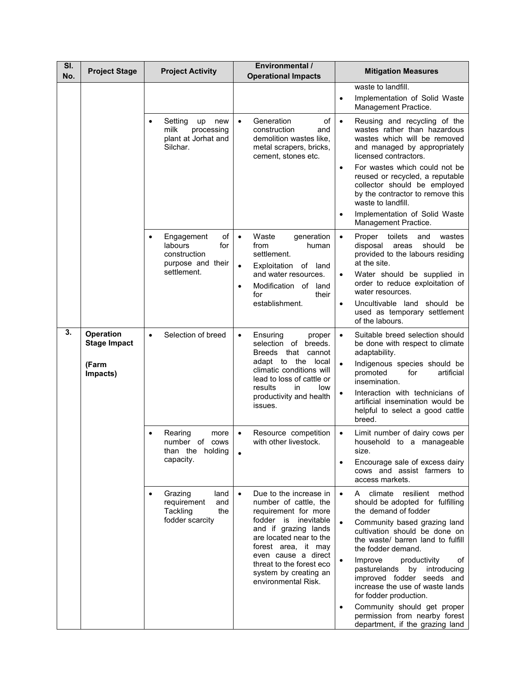| SI.<br>No. | <b>Project Stage</b>                                  | <b>Project Activity</b>                                                                             | Environmental /<br><b>Operational Impacts</b>                                                                                                                      | <b>Mitigation Measures</b>                                                                                                                                                                                 |
|------------|-------------------------------------------------------|-----------------------------------------------------------------------------------------------------|--------------------------------------------------------------------------------------------------------------------------------------------------------------------|------------------------------------------------------------------------------------------------------------------------------------------------------------------------------------------------------------|
|            |                                                       |                                                                                                     |                                                                                                                                                                    | waste to landfill.<br>Implementation of Solid Waste<br>$\bullet$<br>Management Practice.                                                                                                                   |
|            |                                                       | Setting<br>new<br>up<br>milk<br>processing<br>plant at Jorhat and<br>Silchar.                       | Generation<br>of<br>$\bullet$<br>construction<br>and<br>demolition wastes like,<br>metal scrapers, bricks,<br>cement, stones etc.                                  | $\bullet$<br>Reusing and recycling of the<br>wastes rather than hazardous<br>wastes which will be removed<br>and managed by appropriately<br>licensed contractors.                                         |
|            |                                                       |                                                                                                     |                                                                                                                                                                    | For wastes which could not be<br>$\bullet$<br>reused or recycled, a reputable<br>collector should be employed<br>by the contractor to remove this<br>waste to landfill.                                    |
|            |                                                       |                                                                                                     |                                                                                                                                                                    | Implementation of Solid Waste<br>Management Practice.                                                                                                                                                      |
|            |                                                       | of<br>Engagement<br>$\bullet$<br>labours<br>for<br>construction<br>purpose and their<br>settlement. | Waste<br>generation<br>$\bullet$<br>from<br>human<br>settlement.<br>Exploitation of land<br>$\bullet$<br>and water resources.<br>Modification of land<br>$\bullet$ | $\bullet$<br>Proper<br>toilets<br>and<br>wastes<br>disposal<br>areas<br>should<br>be<br>provided to the labours residing<br>at the site.<br>Water should be supplied in<br>order to reduce exploitation of |
|            |                                                       |                                                                                                     | for<br>their<br>establishment.                                                                                                                                     | water resources.<br>Uncultivable land should be<br>$\bullet$<br>used as temporary settlement<br>of the labours.                                                                                            |
| 3.         | Operation<br><b>Stage Impact</b><br>(Farm<br>Impacts) | Selection of breed<br>$\bullet$                                                                     | Ensuring<br>$\bullet$<br>proper<br>selection of breeds.<br>Breeds that cannot<br>adapt to the local<br>climatic conditions will<br>lead to loss of cattle or       | Suitable breed selection should<br>$\bullet$<br>be done with respect to climate<br>adaptability.<br>Indigenous species should be<br>$\bullet$<br>promoted<br>for<br>artificial<br>insemination.            |
|            |                                                       |                                                                                                     | results<br>in<br>low<br>productivity and health<br>issues.                                                                                                         | Interaction with technicians of<br>artificial insemination would be<br>helpful to select a good cattle<br>breed.                                                                                           |
|            |                                                       | Rearing<br>more<br>number of cows<br>than the holding                                               | Resource competition<br>with other livestock.                                                                                                                      | Limit number of dairy cows per<br>$\bullet$<br>household to a manageable<br>size.                                                                                                                          |
|            |                                                       | capacity.                                                                                           |                                                                                                                                                                    | Encourage sale of excess dairy<br>$\bullet$<br>cows and assist farmers to<br>access markets.                                                                                                               |
|            |                                                       | Grazing<br>land<br>requirement<br>and<br>Tackling<br>the                                            | Due to the increase in<br>number of cattle, the<br>requirement for more                                                                                            | climate<br>resilient<br>method<br>$\bullet$<br>A<br>should be adopted for fulfilling<br>the demand of fodder                                                                                               |
|            |                                                       | fodder scarcity                                                                                     | fodder is inevitable<br>and if grazing lands<br>are located near to the<br>forest area, it may                                                                     | Community based grazing land<br>$\bullet$<br>cultivation should be done on<br>the waste/ barren land to fulfill<br>the fodder demand.                                                                      |
|            |                                                       |                                                                                                     | even cause a direct<br>threat to the forest eco<br>system by creating an<br>environmental Risk.                                                                    | Improve<br>productivity<br>οf<br>$\bullet$<br>pasturelands by introducing<br>improved fodder seeds and<br>increase the use of waste lands<br>for fodder production.                                        |
|            |                                                       |                                                                                                     |                                                                                                                                                                    | Community should get proper<br>$\bullet$<br>permission from nearby forest<br>department, if the grazing land                                                                                               |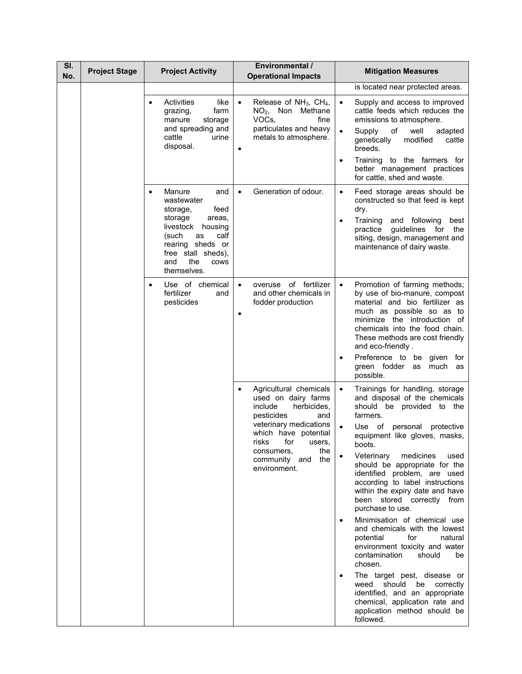| SI.<br>No. | <b>Project Stage</b> | <b>Project Activity</b>                                                                                                                                                                                                | <b>Environmental /</b><br><b>Operational Impacts</b>                                                                                                                                                                                         | <b>Mitigation Measures</b>                                                                                                                                                                                                                                                                                                                                                                                                                                                                                                                                                                                                                                                                                                                                                                                                                   |
|------------|----------------------|------------------------------------------------------------------------------------------------------------------------------------------------------------------------------------------------------------------------|----------------------------------------------------------------------------------------------------------------------------------------------------------------------------------------------------------------------------------------------|----------------------------------------------------------------------------------------------------------------------------------------------------------------------------------------------------------------------------------------------------------------------------------------------------------------------------------------------------------------------------------------------------------------------------------------------------------------------------------------------------------------------------------------------------------------------------------------------------------------------------------------------------------------------------------------------------------------------------------------------------------------------------------------------------------------------------------------------|
|            |                      |                                                                                                                                                                                                                        |                                                                                                                                                                                                                                              | is located near protected areas.                                                                                                                                                                                                                                                                                                                                                                                                                                                                                                                                                                                                                                                                                                                                                                                                             |
|            |                      | Activities<br>like<br>grazing,<br>farm<br>manure<br>storage<br>and spreading and<br>cattle<br>urine<br>disposal.                                                                                                       | Release of $NH_3$ , $CH_4$ ,<br>NO <sub>2</sub> , Non Methane<br>VOCs,<br>fine<br>particulates and heavy<br>metals to atmosphere.<br>$\bullet$                                                                                               | $\bullet$<br>Supply and access to improved<br>cattle feeds which reduces the<br>emissions to atmosphere.<br>$\bullet$<br>of<br>well<br>Supply<br>adapted<br>genetically<br>modified<br>cattle<br>breeds.<br>Training to the farmers for<br>$\bullet$<br>better management practices                                                                                                                                                                                                                                                                                                                                                                                                                                                                                                                                                          |
|            |                      | Manure<br>and<br>$\bullet$<br>wastewater<br>storage,<br>feed<br>storage<br>areas,<br>livestock<br>housing<br>(such<br>as<br>calf<br>rearing sheds or<br>free stall sheds),<br>the<br>and<br><b>COWS</b><br>themselves. | Generation of odour.<br>$\bullet$                                                                                                                                                                                                            | for cattle, shed and waste.<br>Feed storage areas should be<br>$\bullet$<br>constructed so that feed is kept<br>dry.<br>Training<br>and following<br>best<br>٠<br>guidelines for<br>practice<br>the<br>siting, design, management and<br>maintenance of dairy waste.                                                                                                                                                                                                                                                                                                                                                                                                                                                                                                                                                                         |
|            |                      | Use of chemical<br>$\bullet$<br>fertilizer<br>and<br>pesticides                                                                                                                                                        | overuse of fertilizer<br>$\bullet$<br>and other chemicals in<br>fodder production                                                                                                                                                            | Promotion of farming methods;<br>$\bullet$<br>by use of bio-manure, compost<br>material and bio fertilizer as<br>much as possible so as to<br>minimize the introduction of<br>chemicals into the food chain.<br>These methods are cost friendly<br>and eco-friendly.<br>Preference to be given for<br>green fodder as<br>much<br>as<br>possible.                                                                                                                                                                                                                                                                                                                                                                                                                                                                                             |
|            |                      |                                                                                                                                                                                                                        | Agricultural chemicals<br>$\bullet$<br>used on dairy farms<br>include<br>herbicides.<br>pesticides<br>and<br>veterinary medications<br>which have potential<br>risks for users,<br>the<br>consumers,<br>the<br>community and<br>environment. | Trainings for handling, storage<br>$\bullet$<br>and disposal of the chemicals<br>should be provided to the<br>farmers.<br>$\bullet$<br>Use of personal<br>protective<br>equipment like gloves, masks,<br>boots.<br>medicines<br>Veterinary<br>used<br>$\bullet$<br>should be appropriate for the<br>identified problem, are used<br>according to label instructions<br>within the expiry date and have<br>been stored correctly from<br>purchase to use.<br>Minimisation of chemical use<br>$\bullet$<br>and chemicals with the lowest<br>potential<br>for<br>natural<br>environment toxicity and water<br>contamination<br>should<br>be<br>chosen.<br>The target pest, disease or<br>$\bullet$<br>weed should be correctly<br>identified, and an appropriate<br>chemical, application rate and<br>application method should be<br>followed. |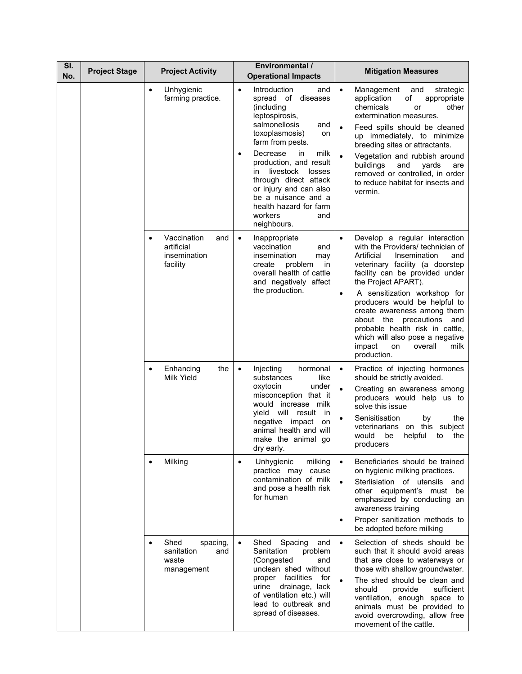| SI.<br>No. | <b>Project Stage</b> | <b>Project Activity</b>                                                   | Environmental /<br><b>Operational Impacts</b>                                                                                                                                                                                                                                                                                                                                                      | <b>Mitigation Measures</b>                                                                                                                                                                                                                                                                                                                                                                                                                                                            |
|------------|----------------------|---------------------------------------------------------------------------|----------------------------------------------------------------------------------------------------------------------------------------------------------------------------------------------------------------------------------------------------------------------------------------------------------------------------------------------------------------------------------------------------|---------------------------------------------------------------------------------------------------------------------------------------------------------------------------------------------------------------------------------------------------------------------------------------------------------------------------------------------------------------------------------------------------------------------------------------------------------------------------------------|
|            |                      | Unhygienic<br>$\bullet$<br>farming practice.                              | Introduction<br>and<br>$\bullet$<br>spread of<br>diseases<br>(including<br>leptospirosis,<br>salmonellosis<br>and<br>toxoplasmosis)<br>on<br>farm from pests.<br>Decrease<br>milk<br>in.<br>$\bullet$<br>production, and result<br>livestock<br>losses<br>in.<br>through direct attack<br>or injury and can also<br>be a nuisance and a<br>health hazard for farm<br>workers<br>and<br>neighbours. | $\bullet$<br>Management<br>and<br>strategic<br>of<br>application<br>appropriate<br>chemicals<br>other<br>or<br>extermination measures.<br>Feed spills should be cleaned<br>up immediately, to minimize<br>breeding sites or attractants.<br>Vegetation and rubbish around<br>$\bullet$<br>buildings<br>and<br>yards<br>are<br>removed or controlled, in order<br>to reduce habitat for insects and<br>vermin.                                                                         |
|            |                      | Vaccination<br>and<br>$\bullet$<br>artificial<br>insemination<br>facility | Inappropriate<br>$\bullet$<br>vaccination<br>and<br>insemination<br>may<br>create<br>problem<br>in<br>overall health of cattle<br>and negatively affect<br>the production.                                                                                                                                                                                                                         | Develop a regular interaction<br>$\bullet$<br>with the Providers/ technician of<br>Artificial<br>Insemination<br>and<br>veterinary facility (a doorstep<br>facility can be provided under<br>the Project APART).<br>A sensitization workshop for<br>$\bullet$<br>producers would be helpful to<br>create awareness among them<br>about the precautions<br>and<br>probable health risk in cattle,<br>which will also pose a negative<br>impact<br>overall<br>milk<br>on<br>production. |
|            |                      | Enhancing<br>the<br>$\bullet$<br>Milk Yield                               | Injecting<br>hormonal<br>$\bullet$<br>like<br>substances<br>under<br>oxytocin<br>misconception that it<br>would increase milk<br>yield will<br>result<br>in<br>negative impact<br>on<br>animal health and will<br>make the animal go<br>dry early.                                                                                                                                                 | Practice of injecting hormones<br>$\bullet$<br>should be strictly avoided.<br>Creating an awareness among<br>producers would help us to<br>solve this issue<br>Senisitisation<br>by<br>the<br>veterinarians on this<br>subject<br>helpful<br>the<br>would<br>be<br>to<br>producers                                                                                                                                                                                                    |
|            |                      | Milking<br>$\bullet$                                                      | Unhygienic<br>milking<br>$\bullet$<br>practice may cause<br>contamination of milk<br>and pose a health risk<br>for human                                                                                                                                                                                                                                                                           | Beneficiaries should be trained<br>$\bullet$<br>on hygienic milking practices.<br>Sterlisiation of utensils and<br>$\bullet$<br>other equipment's must be<br>emphasized by conducting an<br>awareness training<br>Proper sanitization methods to<br>be adopted before milking                                                                                                                                                                                                         |
|            |                      | Shed<br>spacing,<br>$\bullet$<br>sanitation<br>and<br>waste<br>management | Shed<br>Spacing<br>and<br>$\bullet$<br>Sanitation<br>problem<br>(Congested<br>and<br>unclean shed without<br>for<br>proper facilities<br>urine<br>drainage, lack<br>of ventilation etc.) will<br>lead to outbreak and<br>spread of diseases.                                                                                                                                                       | Selection of sheds should be<br>$\bullet$<br>such that it should avoid areas<br>that are close to waterways or<br>those with shallow groundwater.<br>The shed should be clean and<br>should<br>provide<br>sufficient<br>ventilation, enough space to<br>animals must be provided to<br>avoid overcrowding, allow free<br>movement of the cattle.                                                                                                                                      |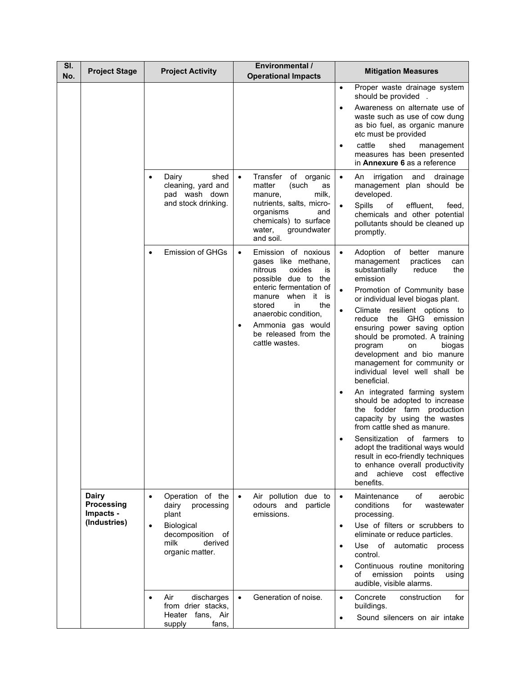| SI.<br>No. | <b>Project Stage</b>                                           | <b>Project Activity</b>                                                                                                                            | <b>Environmental /</b><br><b>Operational Impacts</b>                                                                                                                                                                                                                                     | <b>Mitigation Measures</b>                                                                                                                                                                                                                                                                                                                                                                                                                                                                                                                                                                                                                                                                                                                                                                                                                       |
|------------|----------------------------------------------------------------|----------------------------------------------------------------------------------------------------------------------------------------------------|------------------------------------------------------------------------------------------------------------------------------------------------------------------------------------------------------------------------------------------------------------------------------------------|--------------------------------------------------------------------------------------------------------------------------------------------------------------------------------------------------------------------------------------------------------------------------------------------------------------------------------------------------------------------------------------------------------------------------------------------------------------------------------------------------------------------------------------------------------------------------------------------------------------------------------------------------------------------------------------------------------------------------------------------------------------------------------------------------------------------------------------------------|
|            |                                                                |                                                                                                                                                    |                                                                                                                                                                                                                                                                                          | Proper waste drainage system<br>$\bullet$<br>should be provided .<br>Awareness on alternate use of<br>$\bullet$<br>waste such as use of cow dung<br>as bio fuel, as organic manure<br>etc must be provided<br>cattle<br>shed<br>management<br>$\bullet$<br>measures has been presented<br>in <b>Annexure 6</b> as a reference                                                                                                                                                                                                                                                                                                                                                                                                                                                                                                                    |
|            |                                                                | shed<br>Dairy<br>٠<br>cleaning, yard and<br>pad wash down<br>and stock drinking.                                                                   | Transfer<br>of organic<br>$\bullet$<br>matter<br>(such<br>as<br>milk,<br>manure,<br>nutrients, salts, micro-<br>organisms<br>and<br>chemicals) to surface<br>groundwater<br>water,<br>and soil.                                                                                          | irrigation and drainage<br>$\bullet$<br>An<br>management plan should be<br>developed.<br>effluent,<br>Spills<br>of<br>$\bullet$<br>feed,<br>chemicals and other potential<br>pollutants should be cleaned up<br>promptly.                                                                                                                                                                                                                                                                                                                                                                                                                                                                                                                                                                                                                        |
|            |                                                                | Emission of GHGs<br>$\bullet$                                                                                                                      | Emission of noxious<br>$\bullet$<br>gases like methane,<br>nitrous<br>oxides<br>is<br>possible due to the<br>enteric fermentation of<br>manure when it<br>is<br>the<br>stored<br>in.<br>anaerobic condition,<br>Ammonia gas would<br>$\bullet$<br>be released from the<br>cattle wastes. | Adoption of<br>better manure<br>$\bullet$<br>management<br>practices<br>can<br>substantially<br>reduce<br>the<br>emission<br>Promotion of Community base<br>or individual level biogas plant.<br>Climate resilient options to<br>$\bullet$<br>the GHG emission<br>reduce<br>ensuring power saving option<br>should be promoted. A training<br>program<br>biogas<br>on<br>development and bio manure<br>management for community or<br>individual level well shall be<br>beneficial.<br>An integrated farming system<br>should be adopted to increase<br>the fodder farm production<br>capacity by using the wastes<br>from cattle shed as manure.<br>Sensitization of farmers<br>to<br>adopt the traditional ways would<br>result in eco-friendly techniques<br>to enhance overall productivity<br>achieve<br>cost effective<br>and<br>benefits. |
|            | <b>Dairy</b><br><b>Processing</b><br>Impacts -<br>(Industries) | Operation of the<br>$\bullet$<br>dairy<br>processing<br>plant<br>Biological<br>$\bullet$<br>decomposition of<br>milk<br>derived<br>organic matter. | Air pollution<br>due to<br>$\bullet$<br>odours and<br>particle<br>emissions.                                                                                                                                                                                                             | of<br>aerobic<br>Maintenance<br>$\bullet$<br>for<br>conditions<br>wastewater<br>processing.<br>Use of filters or scrubbers to<br>$\bullet$<br>eliminate or reduce particles.<br>Use of automatic process<br>$\bullet$<br>control.<br>Continuous routine monitoring<br>$\bullet$<br>of<br>emission<br>points<br>using<br>audible, visible alarms.                                                                                                                                                                                                                                                                                                                                                                                                                                                                                                 |
|            |                                                                | Air<br>discharges<br>$\bullet$<br>from drier stacks,<br>Heater fans, Air<br>supply<br>fans,                                                        | Generation of noise.                                                                                                                                                                                                                                                                     | Concrete<br>construction<br>for<br>$\bullet$<br>buildings.<br>Sound silencers on air intake<br>$\bullet$                                                                                                                                                                                                                                                                                                                                                                                                                                                                                                                                                                                                                                                                                                                                         |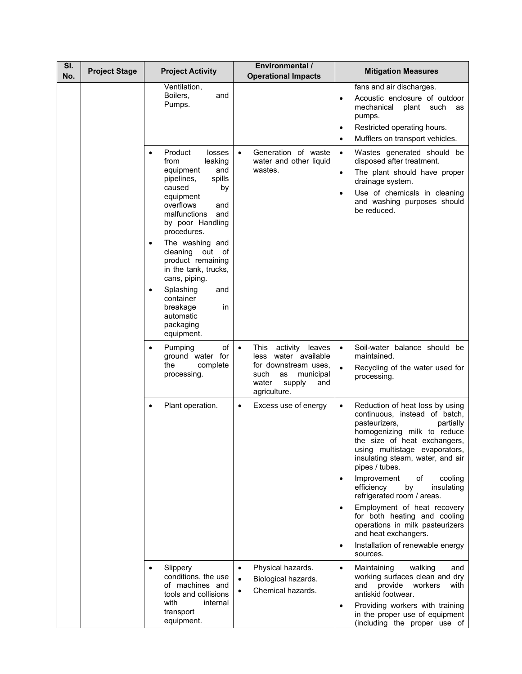| SI.<br>No. | <b>Project Stage</b> | <b>Project Activity</b>                                                                                                                                                                                                                                                                                                                                                                                                              | <b>Environmental /</b><br><b>Operational Impacts</b>                                                                                                         | <b>Mitigation Measures</b>                                                                                                                                                                                                                                                                                                                                                                                                                                                                                    |
|------------|----------------------|--------------------------------------------------------------------------------------------------------------------------------------------------------------------------------------------------------------------------------------------------------------------------------------------------------------------------------------------------------------------------------------------------------------------------------------|--------------------------------------------------------------------------------------------------------------------------------------------------------------|---------------------------------------------------------------------------------------------------------------------------------------------------------------------------------------------------------------------------------------------------------------------------------------------------------------------------------------------------------------------------------------------------------------------------------------------------------------------------------------------------------------|
|            |                      | Ventilation,<br>Boilers,<br>and<br>Pumps.                                                                                                                                                                                                                                                                                                                                                                                            |                                                                                                                                                              | fans and air discharges.<br>Acoustic enclosure of outdoor<br>$\bullet$<br>mechanical<br>plant such<br>as<br>pumps.<br>Restricted operating hours.<br>٠<br>Mufflers on transport vehicles.<br>$\bullet$                                                                                                                                                                                                                                                                                                        |
|            |                      | Product<br>losses<br>$\bullet$<br>leaking<br>from<br>equipment<br>and<br>pipelines,<br>spills<br>caused<br>by<br>equipment<br>overflows<br>and<br>malfunctions<br>and<br>by poor Handling<br>procedures.<br>The washing and<br>$\bullet$<br>cleaning<br>out of<br>product remaining<br>in the tank, trucks,<br>cans, piping.<br>Splashing<br>and<br>$\bullet$<br>container<br>breakage<br>in<br>automatic<br>packaging<br>equipment. | Generation of waste<br>water and other liquid<br>wastes.                                                                                                     | Wastes generated should be<br>$\bullet$<br>disposed after treatment.<br>The plant should have proper<br>$\bullet$<br>drainage system.<br>Use of chemicals in cleaning<br>$\bullet$<br>and washing purposes should<br>be reduced.                                                                                                                                                                                                                                                                              |
|            |                      | Pumping<br>of<br>$\bullet$<br>ground water for<br>the<br>complete<br>processing.                                                                                                                                                                                                                                                                                                                                                     | This<br>activity<br>leaves<br>$\bullet$<br>less water available<br>for downstream uses,<br>such<br>as<br>municipal<br>water<br>supply<br>and<br>agriculture. | Soil-water balance should be<br>$\bullet$<br>maintained.<br>Recycling of the water used for<br>$\bullet$<br>processing.                                                                                                                                                                                                                                                                                                                                                                                       |
|            |                      | Plant operation.<br>$\bullet$                                                                                                                                                                                                                                                                                                                                                                                                        | Excess use of energy<br>$\bullet$                                                                                                                            | Reduction of heat loss by using<br>$\bullet$<br>continuous, instead of batch,<br>pasteurizers,<br>partially<br>homogenizing milk to reduce<br>the size of heat exchangers,<br>using multistage evaporators,<br>insulating steam, water, and air<br>pipes / tubes.<br>Improvement<br>of<br>cooling<br>٠<br>by<br>efficiency<br>insulating<br>refrigerated room / areas.<br>Employment of heat recovery<br>$\bullet$<br>for both heating and cooling<br>operations in milk pasteurizers<br>and heat exchangers. |
|            |                      |                                                                                                                                                                                                                                                                                                                                                                                                                                      |                                                                                                                                                              | Installation of renewable energy<br>٠<br>sources.                                                                                                                                                                                                                                                                                                                                                                                                                                                             |
|            |                      | Slippery<br>$\bullet$<br>conditions, the use<br>of machines and<br>tools and collisions<br>with<br>internal                                                                                                                                                                                                                                                                                                                          | Physical hazards.<br>$\bullet$<br>Biological hazards.<br>$\bullet$<br>Chemical hazards.                                                                      | Maintaining<br>walking<br>$\bullet$<br>and<br>working surfaces clean and dry<br>provide<br>and<br>workers<br>with<br>antiskid footwear.<br>Providing workers with training<br>$\bullet$                                                                                                                                                                                                                                                                                                                       |
|            |                      | transport<br>equipment.                                                                                                                                                                                                                                                                                                                                                                                                              |                                                                                                                                                              | in the proper use of equipment<br>(including the proper use of                                                                                                                                                                                                                                                                                                                                                                                                                                                |